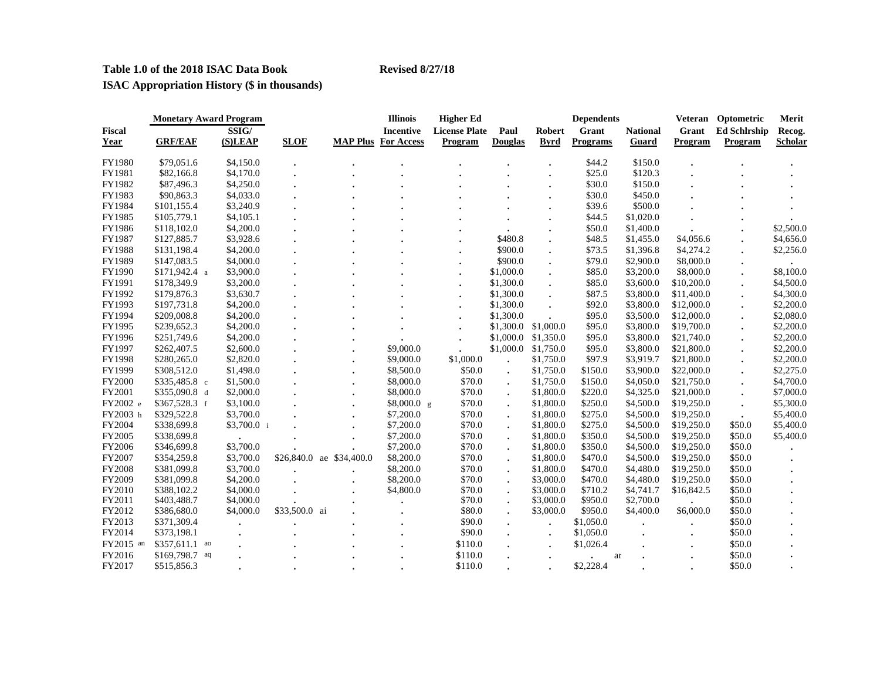# **Table 1.0 of the 2018 ISAC Data Book Revised 8/27/18**

**ISAC Appropriation History (\$ in thousands)**

|               | <b>Monetary Award Program</b> |  |             |               |               | <b>Illinois</b>            | <b>Higher Ed</b>     |                      |             | <b>Dependents</b> |                 | Veteran        | Optometric          | Merit          |
|---------------|-------------------------------|--|-------------|---------------|---------------|----------------------------|----------------------|----------------------|-------------|-------------------|-----------------|----------------|---------------------|----------------|
| <b>Fiscal</b> |                               |  | SSIG/       |               |               | <b>Incentive</b>           | <b>License Plate</b> | Paul                 | Robert      | Grant             | <b>National</b> | Grant          | <b>Ed Schlrship</b> | Recog.         |
| Year          | <b>GRF/EAF</b>                |  | (S)LEAP     | <b>SLOF</b>   |               | <b>MAP Plus For Access</b> | Program              | <b>Douglas</b>       | <b>Byrd</b> | <b>Programs</b>   | Guard           | <b>Program</b> | Program             | <b>Scholar</b> |
| FY1980        | \$79,051.6                    |  | \$4,150.0   |               |               |                            |                      |                      |             | \$44.2            | \$150.0         |                |                     |                |
| FY1981        | \$82,166.8                    |  | \$4,170.0   |               |               |                            |                      |                      |             | \$25.0            | \$120.3         |                |                     |                |
| FY1982        | \$87,496.3                    |  | \$4,250.0   |               |               |                            |                      |                      |             | \$30.0            | \$150.0         |                |                     |                |
| FY1983        | \$90,863.3                    |  | \$4,033.0   |               |               |                            |                      |                      |             | \$30.0            | \$450.0         |                |                     |                |
| FY1984        | \$101,155.4                   |  | \$3,240.9   |               |               |                            |                      |                      |             | \$39.6            | \$500.0         |                |                     |                |
| FY1985        | \$105,779.1                   |  | \$4,105.1   |               |               |                            |                      |                      |             | \$44.5            | \$1,020.0       |                |                     |                |
| FY1986        | \$118,102.0                   |  | \$4,200.0   |               |               |                            |                      |                      |             | \$50.0            | \$1,400.0       |                |                     | \$2,500.0      |
| FY1987        | \$127,885.7                   |  | \$3,928.6   |               |               |                            |                      | \$480.8              |             | \$48.5            | \$1,455.0       | \$4,056.6      |                     | \$4,656.0      |
| FY1988        | \$131,198.4                   |  | \$4,200.0   |               |               |                            |                      | \$900.0              |             | \$73.5            | \$1,396.8       | \$4,274.2      |                     | \$2,256.0      |
| FY1989        | \$147,083.5                   |  | \$4,000.0   |               |               |                            |                      | \$900.0              |             | \$79.0            | \$2,900.0       | \$8,000.0      |                     |                |
| FY1990        | $$171,942.4$ a                |  | \$3,900.0   |               |               |                            | $\ddot{\phantom{0}}$ | \$1,000.0            |             | \$85.0            | \$3,200.0       | \$8,000.0      |                     | \$8,100.0      |
| FY1991        | \$178,349.9                   |  | \$3,200.0   |               |               |                            |                      | \$1,300.0            |             | \$85.0            | \$3,600.0       | \$10,200.0     |                     | \$4,500.0      |
| FY1992        | \$179,876.3                   |  | \$3,630.7   |               |               |                            |                      | \$1,300.0            |             | \$87.5            | \$3,800.0       | \$11,400.0     |                     | \$4,300.0      |
| FY1993        | \$197,731.8                   |  | \$4,200.0   |               |               |                            |                      | \$1,300.0            |             | \$92.0            | \$3,800.0       | \$12,000.0     |                     | \$2,200.0      |
| FY1994        | \$209,008.8                   |  | \$4,200.0   |               |               |                            |                      | \$1,300.0            |             | \$95.0            | \$3,500.0       | \$12,000.0     |                     | \$2,080.0      |
| FY1995        | \$239,652.3                   |  | \$4,200.0   |               |               |                            |                      | \$1,300.0 \$1,000.0  |             | \$95.0            | \$3,800.0       | \$19,700.0     |                     | \$2,200.0      |
| FY1996        | \$251,749.6                   |  | \$4,200.0   |               |               |                            |                      | \$1,000.0 \$1,350.0  |             | \$95.0            | \$3,800.0       | \$21,740.0     |                     | \$2,200.0      |
| FY1997        | \$262,407.5                   |  | \$2,600.0   |               |               | \$9,000.0                  |                      | \$1,000.0            | \$1,750.0   | \$95.0            | \$3,800.0       | \$21,800.0     |                     | \$2,200.0      |
| FY1998        | \$280,265.0                   |  | \$2,820.0   |               |               | \$9,000.0                  | \$1,000.0            |                      | \$1,750.0   | \$97.9            | \$3,919.7       | \$21,800.0     |                     | \$2,200.0      |
| FY1999        | \$308,512.0                   |  | \$1,498.0   |               |               | \$8,500.0                  | \$50.0               | $\ddot{\phantom{0}}$ | \$1,750.0   | \$150.0           | \$3,900.0       | \$22,000.0     |                     | \$2,275.0      |
| FY2000        | $$335,485.8$ c                |  | \$1,500.0   |               |               | \$8,000.0                  | \$70.0               |                      | \$1,750.0   | \$150.0           | \$4,050.0       | \$21,750.0     |                     | \$4,700.0      |
| FY2001        | $$355,090.8 \text{ d}$        |  | \$2,000.0   |               |               | \$8,000.0                  | \$70.0               | $\bullet$            | \$1,800.0   | \$220.0           | \$4,325.0       | \$21,000.0     |                     | \$7,000.0      |
| FY2002 e      | \$367,528.3 f                 |  | \$3,100.0   |               |               | \$8,000.0 g                | \$70.0               |                      | \$1,800.0   | \$250.0           | \$4,500.0       | \$19,250.0     |                     | \$5,300.0      |
| FY2003 h      | \$329,522.8                   |  | \$3,700.0   |               |               | \$7,200.0                  | \$70.0               | $\ddot{\phantom{0}}$ | \$1,800.0   | \$275.0           | \$4,500.0       | \$19,250.0     | $\bullet$           | \$5,400.0      |
| FY2004        | \$338,699.8                   |  | \$3,700.0 i |               |               | \$7,200.0                  | \$70.0               |                      | \$1,800.0   | \$275.0           | \$4,500.0       | \$19,250.0     | \$50.0              | \$5,400.0      |
| FY2005        | \$338,699.8                   |  |             |               |               | \$7,200.0                  | \$70.0               |                      | \$1,800.0   | \$350.0           | \$4,500.0       | \$19,250.0     | \$50.0              | \$5,400.0      |
| FY2006        | \$346,699.8                   |  | \$3,700.0   |               |               | \$7,200.0                  | \$70.0               |                      | \$1,800.0   | \$350.0           | \$4,500.0       | \$19,250.0     | \$50.0              |                |
| FY2007        | \$354,259.8                   |  | \$3,700.0   | \$26,840.0    | ae \$34,400.0 | \$8,200.0                  | \$70.0               | $\cdot$              | \$1,800.0   | \$470.0           | \$4,500.0       | \$19,250.0     | \$50.0              |                |
| <b>FY2008</b> | \$381,099.8                   |  | \$3,700.0   |               |               | \$8,200.0                  | \$70.0               | $\ddot{\phantom{a}}$ | \$1,800.0   | \$470.0           | \$4,480.0       | \$19,250.0     | \$50.0              |                |
| FY2009        | \$381,099.8                   |  | \$4,200.0   |               |               | \$8,200.0                  | \$70.0               |                      | \$3,000.0   | \$470.0           | \$4,480.0       | \$19,250.0     | \$50.0              |                |
| FY2010        | \$388,102.2                   |  | \$4,000.0   |               |               | \$4,800.0                  | \$70.0               | $\ddot{\phantom{a}}$ | \$3,000.0   | \$710.2           | \$4,741.7       | \$16,842.5     | \$50.0              |                |
| FY2011        | \$403,488.7                   |  | \$4,000.0   |               |               |                            | \$70.0               |                      | \$3,000.0   | \$950.0           | \$2,700.0       |                | \$50.0              |                |
| FY2012        | \$386,680.0                   |  | \$4,000.0   | \$33,500.0 ai |               |                            | \$80.0               |                      | \$3,000.0   | \$950.0           | \$4,400.0       | \$6,000.0      | \$50.0              |                |
| FY2013        | \$371,309.4                   |  |             |               |               |                            | \$90.0               |                      |             | \$1,050.0         |                 |                | \$50.0              |                |
| FY2014        | \$373,198.1                   |  |             |               |               |                            | \$90.0               |                      |             | \$1,050.0         |                 |                | \$50.0              |                |
| FY2015 an     | $$357,611.1$ ao               |  |             |               |               |                            | \$110.0              |                      |             | \$1,026.4         |                 |                | \$50.0              |                |
| FY2016        | \$169,798.7 aq                |  |             |               |               |                            | \$110.0              |                      |             |                   | ar              |                | \$50.0              |                |
| FY2017        | \$515,856.3                   |  |             |               |               |                            | \$110.0              |                      |             | \$2,228.4         |                 |                | \$50.0              |                |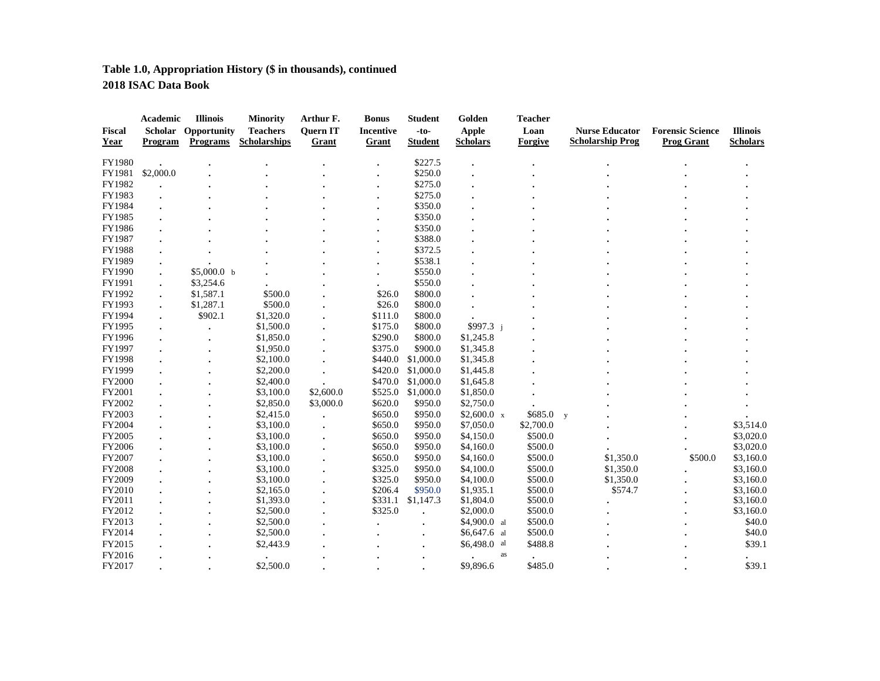# **Table 1.0, Appropriation History (\$ in thousands), continued 2018 ISAC Data Book**

|               | Academic  | <b>Illinois</b> | <b>Minority</b>     | Arthur F.       | <b>Bonus</b>     | <b>Student</b> | Golden            | <b>Teacher</b> |                         |                         |                 |
|---------------|-----------|-----------------|---------------------|-----------------|------------------|----------------|-------------------|----------------|-------------------------|-------------------------|-----------------|
| <b>Fiscal</b> | Scholar   | Opportunity     | <b>Teachers</b>     | <b>Ouern IT</b> | <b>Incentive</b> | $-to-$         | <b>Apple</b>      | Loan           | <b>Nurse Educator</b>   | <b>Forensic Science</b> | <b>Illinois</b> |
| Year          | Program   | <b>Programs</b> | <b>Scholarships</b> | Grant           | Grant            | <b>Student</b> | <b>Scholars</b>   | Forgive        | <b>Scholarship Prog</b> | <b>Prog Grant</b>       | <b>Scholars</b> |
| FY1980        |           |                 |                     |                 |                  | \$227.5        |                   |                |                         |                         |                 |
| FY1981        | \$2,000.0 |                 |                     |                 |                  | \$250.0        |                   |                |                         |                         |                 |
| FY1982        |           |                 |                     |                 |                  | \$275.0        |                   |                |                         |                         |                 |
| FY1983        |           |                 |                     |                 |                  | \$275.0        |                   |                |                         |                         |                 |
| FY1984        |           |                 |                     |                 |                  | \$350.0        |                   |                |                         |                         |                 |
| FY1985        |           |                 |                     |                 |                  | \$350.0        |                   |                |                         |                         |                 |
| FY1986        |           |                 |                     |                 |                  | \$350.0        |                   |                |                         |                         |                 |
| FY1987        |           |                 |                     |                 |                  | \$388.0        |                   |                |                         |                         |                 |
| FY1988        |           |                 |                     |                 |                  | \$372.5        |                   |                |                         |                         |                 |
| FY1989        |           |                 |                     |                 |                  | \$538.1        |                   |                |                         |                         |                 |
| FY1990        |           | \$5,000.0 b     |                     |                 |                  | \$550.0        |                   |                |                         |                         |                 |
| FY1991        |           | \$3,254.6       |                     |                 |                  | \$550.0        |                   |                |                         |                         |                 |
| FY1992        |           | \$1,587.1       | \$500.0             |                 | \$26.0           | \$800.0        |                   |                |                         |                         |                 |
| FY1993        |           | \$1,287.1       | \$500.0             |                 | \$26.0           | \$800.0        |                   |                |                         |                         |                 |
| FY1994        |           | \$902.1         | \$1,320.0           |                 | \$111.0          | \$800.0        |                   |                |                         |                         |                 |
| FY1995        |           |                 | \$1,500.0           |                 | \$175.0          | \$800.0        | \$997.3 j         |                |                         |                         |                 |
| FY1996        |           |                 | \$1,850.0           |                 | \$290.0          | \$800.0        | \$1,245.8         |                |                         |                         |                 |
| FY1997        |           |                 | \$1,950.0           |                 | \$375.0          | \$900.0        | \$1,345.8         |                |                         |                         |                 |
|               |           |                 |                     |                 | \$440.0          | \$1,000.0      |                   |                |                         |                         |                 |
| FY1998        |           |                 | \$2,100.0           |                 |                  |                | \$1,345.8         |                |                         |                         |                 |
| FY1999        |           |                 | \$2,200.0           |                 | \$420.0          | \$1,000.0      | \$1,445.8         |                |                         |                         |                 |
| <b>FY2000</b> |           |                 | \$2,400.0           |                 | \$470.0          | \$1,000.0      | \$1,645.8         |                |                         |                         |                 |
| FY2001        |           |                 | \$3,100.0           | \$2,600.0       | \$525.0          | \$1,000.0      | \$1,850.0         |                |                         |                         |                 |
| FY2002        |           |                 | \$2,850.0           | \$3,000.0       | \$620.0          | \$950.0        | \$2,750.0         |                |                         |                         |                 |
| FY2003        |           |                 | \$2,415.0           |                 | \$650.0          | \$950.0        | $$2,600.0 \times$ | \$685.0        | $\mathbf{y}$            |                         |                 |
| FY2004        |           |                 | \$3,100.0           |                 | \$650.0          | \$950.0        | \$7,050.0         | \$2,700.0      |                         |                         | \$3,514.0       |
| FY2005        |           |                 | \$3,100.0           |                 | \$650.0          | \$950.0        | \$4,150.0         | \$500.0        |                         |                         | \$3,020.0       |
| FY2006        |           |                 | \$3,100.0           |                 | \$650.0          | \$950.0        | \$4,160.0         | \$500.0        |                         |                         | \$3,020.0       |
| FY2007        |           |                 | \$3,100.0           |                 | \$650.0          | \$950.0        | \$4,160.0         | \$500.0        | \$1,350.0               | \$500.0                 | \$3,160.0       |
| FY2008        |           |                 | \$3,100.0           |                 | \$325.0          | \$950.0        | \$4,100.0         | \$500.0        | \$1,350.0               |                         | \$3,160.0       |
| FY2009        |           |                 | \$3,100.0           |                 | \$325.0          | \$950.0        | \$4,100.0         | \$500.0        | \$1,350.0               |                         | \$3,160.0       |
| FY2010        |           |                 | \$2,165.0           |                 | \$206.4          | \$950.0        | \$1,935.1         | \$500.0        | \$574.7                 |                         | \$3,160.0       |
| FY2011        |           |                 | \$1,393.0           |                 | \$331.1          | \$1,147.3      | \$1,804.0         | \$500.0        |                         |                         | \$3,160.0       |
| FY2012        |           |                 | \$2,500.0           |                 | \$325.0          |                | \$2,000.0         | \$500.0        |                         |                         | \$3,160.0       |
| FY2013        |           |                 | \$2,500.0           |                 |                  |                | $$4,900.0$ al     | \$500.0        |                         |                         | \$40.0          |
| FY2014        |           |                 | \$2,500.0           |                 |                  |                | $$6,647.6$ al     | \$500.0        |                         |                         | \$40.0          |
| FY2015        |           |                 | \$2,443.9           |                 |                  |                | \$6,498.0<br>al   | \$488.8        |                         |                         | \$39.1          |
| FY2016        |           |                 |                     |                 |                  |                |                   | as             |                         |                         |                 |
| FY2017        |           |                 | \$2,500.0           |                 |                  |                | \$9,896.6         | \$485.0        |                         |                         | \$39.1          |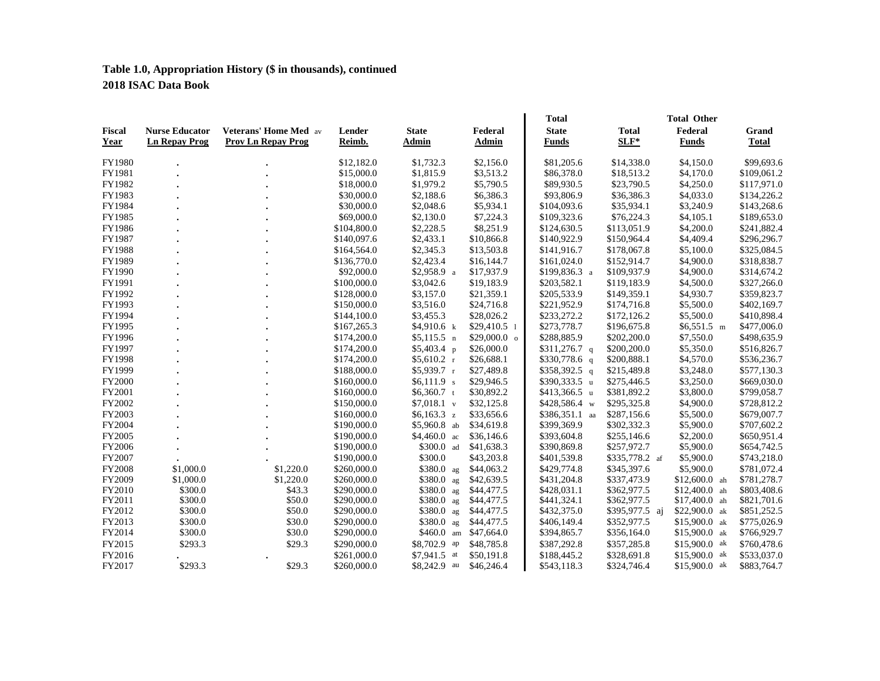# **Table 1.0, Appropriation History (\$ in thousands), continued 2018 ISAC Data Book**

| <b>Fiscal</b><br>Year | <b>Nurse Educator</b><br><b>Ln Repay Prog</b> | <b>Veterans' Home Med</b> av<br><b>Prov Ln Repay Prog</b> | Lender<br>Reimb. | <b>State</b><br>Admin | Federal<br>Admin      | <b>Total</b><br><b>State</b><br><b>Funds</b> | <b>Total</b><br>$SLF^*$ | <b>Total Other</b><br>Federal<br><b>Funds</b> | Grand<br><b>Total</b> |
|-----------------------|-----------------------------------------------|-----------------------------------------------------------|------------------|-----------------------|-----------------------|----------------------------------------------|-------------------------|-----------------------------------------------|-----------------------|
| FY1980                |                                               |                                                           | \$12,182.0       | \$1,732.3             | \$2,156.0             | \$81,205.6                                   | \$14,338.0              | \$4,150.0                                     | \$99,693.6            |
| FY1981                |                                               |                                                           | \$15,000.0       | \$1,815.9             | \$3.513.2             | \$86,378.0                                   | \$18,513.2              | \$4,170.0                                     | \$109,061.2           |
| FY1982                |                                               |                                                           | \$18,000.0       | \$1,979.2             | \$5,790.5             | \$89,930.5                                   | \$23,790.5              | \$4,250.0                                     | \$117,971.0           |
| FY1983                |                                               |                                                           | \$30,000.0       | \$2,188.6             | \$6,386.3             | \$93,806.9                                   | \$36,386.3              | \$4,033.0                                     | \$134,226.2           |
| FY1984                |                                               |                                                           | \$30,000.0       | \$2,048.6             | \$5,934.1             | \$104,093.6                                  | \$35,934.1              | \$3,240.9                                     | \$143,268.6           |
| FY1985                |                                               |                                                           | \$69,000.0       | \$2,130.0             | \$7,224.3             | \$109,323.6                                  | \$76,224.3              | \$4,105.1                                     | \$189,653.0           |
| FY1986                |                                               |                                                           | \$104,800.0      | \$2,228.5             | \$8,251.9             | \$124,630.5                                  | \$113,051.9             | \$4,200.0                                     | \$241,882.4           |
| FY1987                |                                               |                                                           | \$140,097.6      | \$2,433.1             | \$10,866.8            | \$140,922.9                                  | \$150,964.4             | \$4,409.4                                     | \$296,296.7           |
| FY1988                |                                               |                                                           | \$164,564.0      | \$2,345.3             | \$13,503.8            | \$141,916.7                                  | \$178,067.8             | \$5,100.0                                     | \$325,084.5           |
| FY1989                |                                               |                                                           | \$136,770.0      | \$2,423.4             | \$16,144.7            | \$161,024.0                                  | \$152,914.7             | \$4,900.0                                     | \$318,838.7           |
| FY1990                |                                               |                                                           | \$92,000.0       | $$2,958.9$ a          | \$17,937.9            | \$199,836.3 a                                | \$109,937.9             | \$4,900.0                                     | \$314,674.2           |
| FY1991                |                                               |                                                           | \$100,000.0      | \$3,042.6             | \$19,183.9            | \$203,582.1                                  | \$119,183.9             | \$4,500.0                                     | \$327,266.0           |
| FY1992                |                                               |                                                           | \$128,000.0      | \$3,157.0             | \$21,359.1            | \$205,533.9                                  | \$149,359.1             | \$4,930.7                                     | \$359,823.7           |
| FY1993                |                                               |                                                           | \$150,000.0      | \$3,516.0             | \$24,716.8            | \$221,952.9                                  | \$174,716.8             | \$5,500.0                                     | \$402,169.7           |
| FY1994                |                                               |                                                           | \$144,100.0      | \$3,455.3             | \$28,026.2            | \$233,272.2                                  | \$172,126.2             | \$5,500.0                                     | \$410,898.4           |
| FY1995                |                                               |                                                           | \$167,265.3      | \$4,910.6 k           | $$29,410.5$ 1         | \$273,778.7                                  | \$196,675.8             | $$6,551.5 \text{ m}$                          | \$477,006.0           |
| FY1996                |                                               |                                                           | \$174,200.0      | $$5,115.5$ n          | $$29,000.0$ o         | \$288,885.9                                  | \$202,200.0             | \$7,550.0                                     | \$498,635.9           |
| FY1997                |                                               |                                                           | \$174,200.0      | \$5,403.4\$p          | \$26,000.0            | $$311,276.7$ q                               | \$200,200.0             | \$5,350.0                                     | \$516,826.7           |
| FY1998                |                                               |                                                           | \$174,200.0      | $$5,610.2$ r          | \$26,688.1            | $$330,778.6$ q                               | \$200,888.1             | \$4,570.0                                     | \$536,236.7           |
| FY1999                |                                               |                                                           | \$188,000.0      | \$5,939.7 r           | \$27,489.8            | $$358,392.5$ q                               | \$215,489.8             | \$3,248.0                                     | \$577,130.3           |
| FY2000                |                                               |                                                           | \$160,000.0      | $$6,111.9$ s          | \$29,946.5            | \$390,333.5 u                                | \$275,446.5             | \$3,250.0                                     | \$669,030.0           |
| FY2001                |                                               |                                                           | \$160,000.0      | \$6,360.7 t           | \$30,892.2            | \$413,366.5 u                                | \$381,892.2             | \$3,800.0                                     | \$799,058.7           |
| FY2002                |                                               |                                                           | \$150,000.0      | $$7,018.1$ v          | \$32,125.8            | \$428,586.4 w                                | \$295,325.8             | \$4,900.0                                     | \$728,812.2           |
| FY2003                |                                               |                                                           | \$160,000.0      | \$6,163.3 z           | \$33,656.6            | \$386,351.1 aa                               | \$287,156.6             | \$5,500.0                                     | \$679,007.7           |
| FY2004                |                                               |                                                           | \$190,000.0      | \$5,960.8 ab          | \$34,619.8            | \$399,369.9                                  | \$302,332.3             | \$5,900.0                                     | \$707,602.2           |
| FY2005                |                                               |                                                           | \$190,000.0      | $$4,460.0$ ac         | \$36,146.6            | \$393,604.8                                  | \$255,146.6             | \$2,200.0                                     | \$650,951.4           |
| FY2006                |                                               |                                                           | \$190,000.0      | \$300.0 ad            | \$41,638.3            | \$390,869.8                                  | \$257,972.7             | \$5,900.0                                     | \$654,742.5           |
| FY2007                |                                               |                                                           | \$190,000.0      | \$300.0               | \$43,203.8            | \$401,539.8                                  | \$335,778.2 af          | \$5,900.0                                     | \$743,218.0           |
| <b>FY2008</b>         | \$1,000.0                                     | \$1,220.0                                                 | \$260,000.0      | $$380.0$ ag           | \$44,063.2            | \$429,774.8                                  | \$345,397.6             | \$5,900.0                                     | \$781,072.4           |
| FY2009                | \$1,000.0                                     | \$1,220.0                                                 | \$260,000.0      | \$380.0 ag            | \$42,639.5            | \$431,204.8                                  | \$337,473.9             | $$12,600.0$ ah                                | \$781,278.7           |
| FY2010                | \$300.0                                       | \$43.3                                                    | \$290,000.0      | \$380.0 ag            | \$44,477.5            | \$428,031.1                                  | \$362,977.5             | $$12,400.0$ ah                                | \$803,408.6           |
| FY2011                | \$300.0                                       | \$50.0                                                    | \$290,000.0      | \$380.0 ag            | \$44,477.5            | \$441,324.1                                  | \$362,977.5             | $$17,400.0$ ah                                | \$821,701.6           |
| FY2012                | \$300.0                                       | \$50.0                                                    | \$290,000.0      | $$380.0$ ag           | \$44,477.5            | \$432,375.0                                  | \$395,977.5 aj          | $$22,900.0$ ak                                | \$851,252.5           |
| FY2013                | \$300.0                                       | \$30.0                                                    | \$290,000.0      | \$380.0 ag            | \$44,477.5            | \$406,149.4                                  | \$352,977.5             | $$15,900.0$ ak                                | \$775,026.9           |
| FY2014                | \$300.0                                       | \$30.0                                                    | \$290,000.0      |                       | \$460.0 am \$47,664.0 | \$394,865.7                                  | \$356,164.0             | $$15,900.0$ ak                                | \$766,929.7           |
| FY2015                | \$293.3                                       | \$29.3                                                    | \$290,000.0      | \$8,702.9 ap          | \$48,785.8            | \$387,292.8                                  | \$357,285.8             | $$15,900.0$ ak                                | \$760,478.6           |
| FY2016                |                                               |                                                           | \$261,000.0      | \$7,941.5 at          | \$50,191.8            | \$188,445.2                                  | \$328,691.8             | $$15,900.0$ ak                                | \$533,037.0           |
| FY2017                | \$293.3                                       | \$29.3                                                    | \$260,000.0      | \$8,242.9 au          | \$46,246.4            | \$543,118.3                                  | \$324,746.4             | $$15,900.0$ ak                                | \$883,764.7           |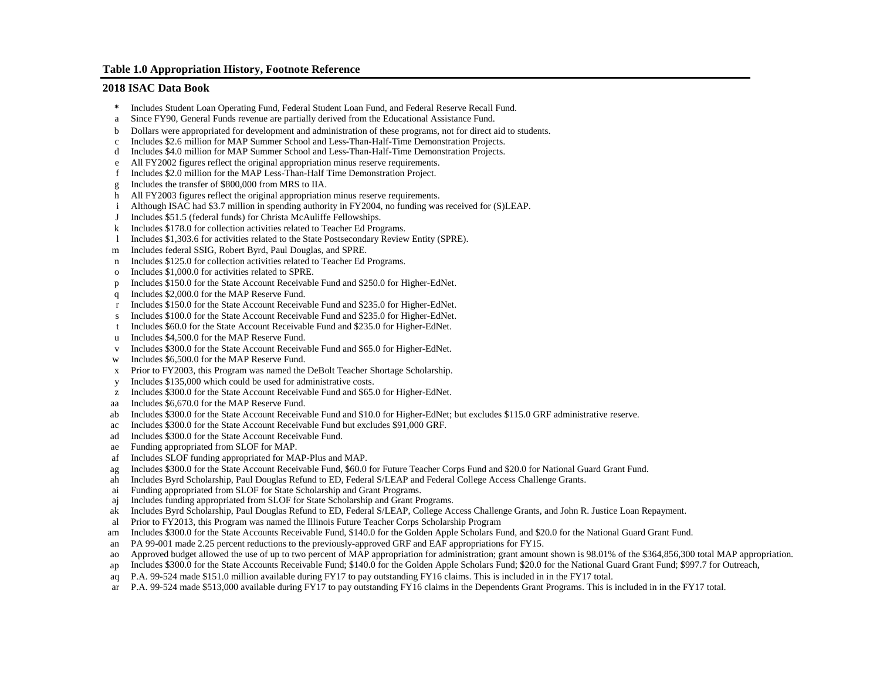#### **Table 1.0 Appropriation History, Footnote Reference**

#### **2018 ISAC Data Book**

- **\*** Includes Student Loan Operating Fund, Federal Student Loan Fund, and Federal Reserve Recall Fund.
- a Since FY90, General Funds revenue are partially derived from the Educational Assistance Fund.
- b Dollars were appropriated for development and administration of these programs, not for direct aid to students.
- c Includes \$2.6 million for MAP Summer School and Less-Than-Half-Time Demonstration Projects.
- d Includes \$4.0 million for MAP Summer School and Less-Than-Half-Time Demonstration Projects.
- e All FY2002 figures reflect the original appropriation minus reserve requirements.
- f Includes \$2.0 million for the MAP Less-Than-Half Time Demonstration Project.
- g Includes the transfer of \$800,000 from MRS to IIA.
- h All FY2003 figures reflect the original appropriation minus reserve requirements.
- i Although ISAC had \$3.7 million in spending authority in FY2004, no funding was received for (S)LEAP.
- J Includes \$51.5 (federal funds) for Christa McAuliffe Fellowships.
- k Includes \$178.0 for collection activities related to Teacher Ed Programs.
- l Includes \$1,303.6 for activities related to the State Postsecondary Review Entity (SPRE).
- m Includes federal SSIG, Robert Byrd, Paul Douglas, and SPRE.
- n Includes \$125.0 for collection activities related to Teacher Ed Programs.
- o Includes \$1,000.0 for activities related to SPRE.
- p Includes \$150.0 for the State Account Receivable Fund and \$250.0 for Higher-EdNet.
- q Includes \$2,000.0 for the MAP Reserve Fund.
- Includes \$150.0 for the State Account Receivable Fund and \$235.0 for Higher-EdNet.
- s Includes \$100.0 for the State Account Receivable Fund and \$235.0 for Higher-EdNet.
- t Includes \$60.0 for the State Account Receivable Fund and \$235.0 for Higher-EdNet.
- u Includes \$4,500.0 for the MAP Reserve Fund.
- v Includes \$300.0 for the State Account Receivable Fund and \$65.0 for Higher-EdNet.
- w Includes \$6,500.0 for the MAP Reserve Fund.
- x Prior to FY2003, this Program was named the DeBolt Teacher Shortage Scholarship.
- y Includes \$135,000 which could be used for administrative costs.
- z Includes \$300.0 for the State Account Receivable Fund and \$65.0 for Higher-EdNet.
- aa Includes \$6,670.0 for the MAP Reserve Fund.
- ab Includes \$300.0 for the State Account Receivable Fund and \$10.0 for Higher-EdNet; but excludes \$115.0 GRF administrative reserve.
- ac Includes \$300.0 for the State Account Receivable Fund but excludes \$91,000 GRF.
- ad Includes \$300.0 for the State Account Receivable Fund.
- ae Funding appropriated from SLOF for MAP.
- af Includes SLOF funding appropriated for MAP-Plus and MAP.
- ag Includes \$300.0 for the State Account Receivable Fund, \$60.0 for Future Teacher Corps Fund and \$20.0 for National Guard Grant Fund.
- ah Includes Byrd Scholarship, Paul Douglas Refund to ED, Federal S/LEAP and Federal College Access Challenge Grants.
- ai Funding appropriated from SLOF for State Scholarship and Grant Programs.
- aj Includes funding appropriated from SLOF for State Scholarship and Grant Programs.
- ak Includes Byrd Scholarship, Paul Douglas Refund to ED, Federal S/LEAP, College Access Challenge Grants, and John R. Justice Loan Repayment.
- al Prior to FY2013, this Program was named the Illinois Future Teacher Corps Scholarship Program
- am Includes \$300.0 for the State Accounts Receivable Fund, \$140.0 for the Golden Apple Scholars Fund, and \$20.0 for the National Guard Grant Fund.
- an PA 99-001 made 2.25 percent reductions to the previously-approved GRF and EAF appropriations for FY15.
- ao Approved budget allowed the use of up to two percent of MAP appropriation for administration; grant amount shown is 98.01% of the \$364,856,300 total MAP appropriation.
- ap Includes \$300.0 for the State Accounts Receivable Fund; \$140.0 for the Golden Apple Scholars Fund; \$20.0 for the National Guard Grant Fund; \$997.7 for Outreach,
- aq P.A. 99-524 made \$151.0 million available during FY17 to pay outstanding FY16 claims. This is included in in the FY17 total.
- ar P.A. 99-524 made \$513,000 available during FY17 to pay outstanding FY16 claims in the Dependents Grant Programs. This is included in in the FY17 total.